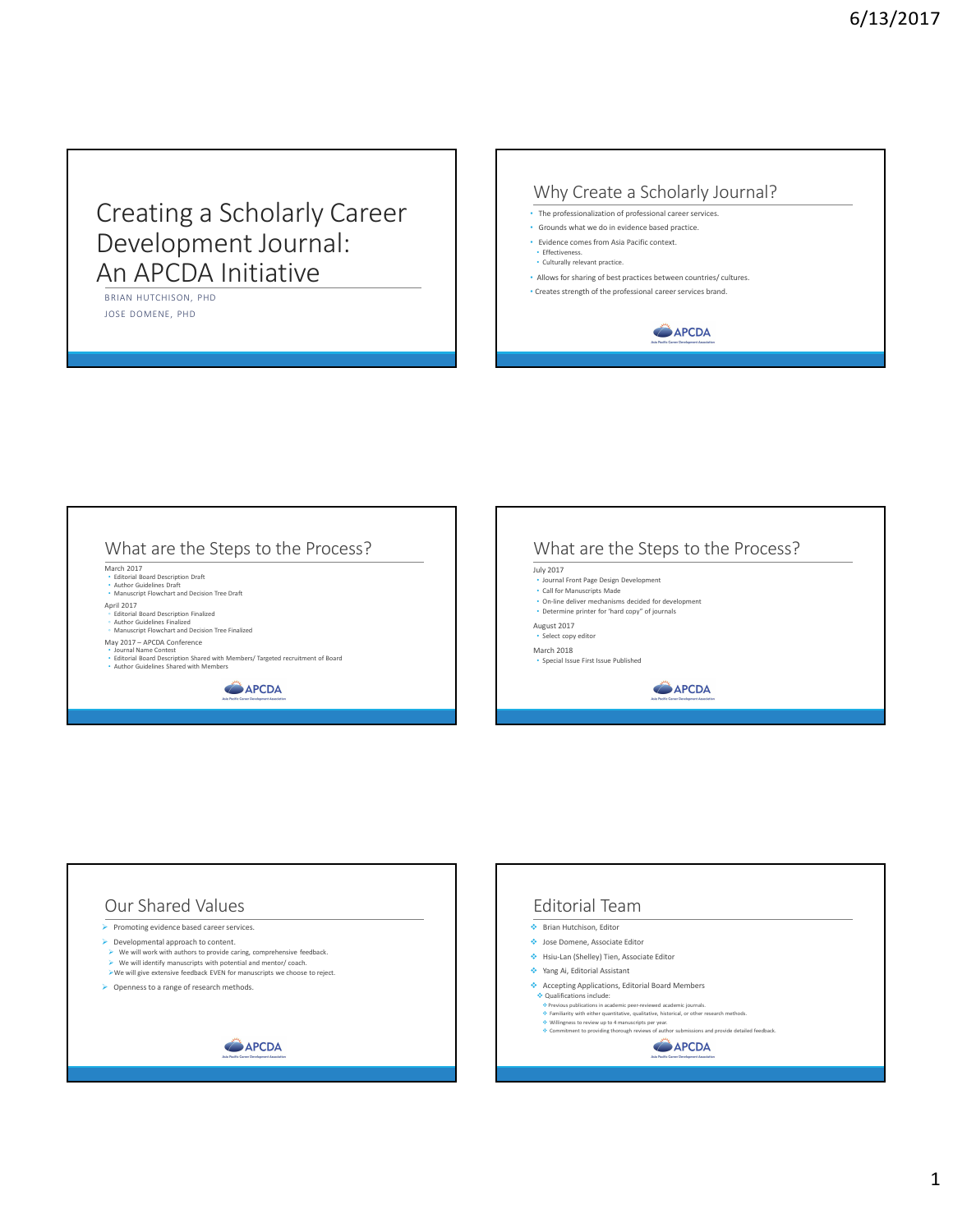## Creating a Scholarly Career Development Journal: An APCDA Initiative

BRIAN HUTCHISON, PHD JOSE DOMENE, PHD

## Why Create a Scholarly Journal?

- The professionalization of professional career services.
- Grounds what we do in evidence based practice.
- Evidence comes from Asia Pacific context. • Effectiveness.
- Culturally relevant practice.
- Allows for sharing of best practices between countries/ cultures.
- Creates strength of the professional career services brand.



## What are the Steps to the Process?

March 2017 • Editorial Board Description Draft • Author Guidelines Draft • Manuscript Flowchart and Decision Tree Draft

April 2017

◦ Editorial Board Description Finalized ◦ Author Guidelines Finalized ◦ Manuscript Flowchart and Decision Tree Finalized

May 2017 – APCDA Conference

## • Journal Name Contest

• Editorial Board Description Shared with Members/ Targeted recruitment of Board • Author Guidelines Shared with Members

APCDA